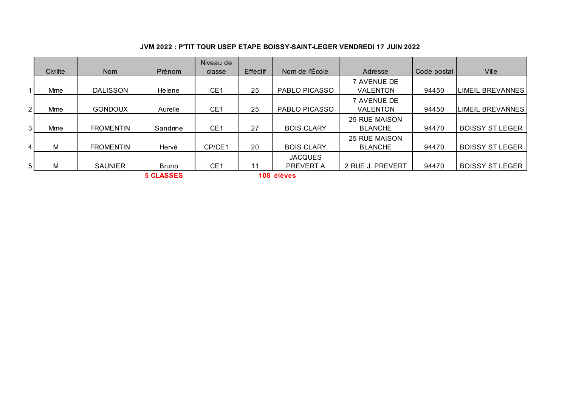## **JVM 2022 : P'TIT TOUR USEP ETAPE BOISSY-SAINT-LEGER VENDREDI 17 JUIN 2022**

|                |          |                  |                  | Niveau de       |          |                   |                      |             |                         |
|----------------|----------|------------------|------------------|-----------------|----------|-------------------|----------------------|-------------|-------------------------|
|                | Civilite | <b>Nom</b>       | Prénom           | classe          | Effectif | Nom de l'Ècole    | Adresse              | Code postal | <b>Ville</b>            |
|                |          |                  |                  |                 |          |                   | 7 AVENUE DE          |             |                         |
| 1              | Mme      | <b>DALISSON</b>  | Helene           | CE <sub>1</sub> | 25       | PABLO PICASSO     | <b>VALENTON</b>      | 94450       | <b>LIMEIL BREVANNES</b> |
|                |          |                  |                  |                 |          |                   | 7 AVENUE DE          |             |                         |
| 2 <sup>1</sup> | Mme      | <b>GONDOUX</b>   | Aurelie          | CE <sub>1</sub> | 25       | PABLO PICASSO     | <b>VALENTON</b>      | 94450       | LIMEIL BREVANNES        |
|                |          |                  |                  |                 |          |                   | <b>25 RUE MAISON</b> |             |                         |
| 3 I            | Mme      | <b>FROMENTIN</b> | Sandrine         | CE <sub>1</sub> | 27       | <b>BOIS CLARY</b> | <b>BLANCHE</b>       | 94470       | <b>BOISSY ST LEGER</b>  |
|                |          |                  |                  |                 |          |                   | <b>25 RUE MAISON</b> |             |                         |
| 4 <sup>1</sup> | M        | <b>FROMENTIN</b> | Hervé            | CP/CE1          | 20       | <b>BOIS CLARY</b> | <b>BLANCHE</b>       | 94470       | <b>BOISSY ST LEGER</b>  |
|                |          |                  |                  |                 |          | <b>JACQUES</b>    |                      |             |                         |
| 5 <sup>1</sup> | M        | <b>SAUNIER</b>   | <b>Bruno</b>     | CE <sub>1</sub> | 11       | PREVERT A         | 2 RUE J. PREVERT     | 94470       | <b>BOISSY ST LEGER</b>  |
|                |          |                  | <b>5 CLASSES</b> |                 |          | 108 élèves        |                      |             |                         |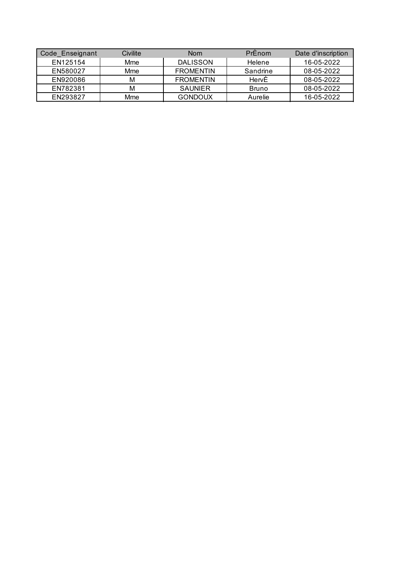| Code_Enseignant | Civilite | <b>Nom</b>       | PrEnom   | Date d'inscription |
|-----------------|----------|------------------|----------|--------------------|
| EN125154        | Mme      | DALISSON         | Helene   | 16-05-2022         |
| EN580027        | Mme      | <b>FROMENTIN</b> | Sandrine | 08-05-2022         |
| EN920086        | м        | <b>FROMENTIN</b> | HervÉ    | 08-05-2022         |
| EN782381        | м        | <b>SAUNIER</b>   | Bruno    | 08-05-2022         |
| EN293827        | Mme      | <b>GONDOUX</b>   | Aurelie  | 16-05-2022         |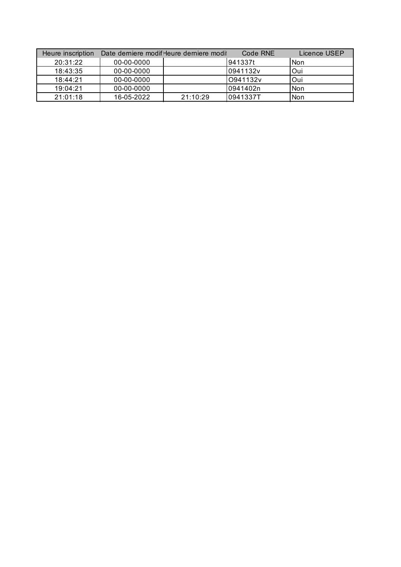| Heure inscription |            | Date derniere modif-leure derniere modit | Code RNE | Licence USEP |
|-------------------|------------|------------------------------------------|----------|--------------|
| 20:31:22          | 00-00-0000 |                                          | 1941337t | l Non        |
| 18:43:35          | 00-00-0000 |                                          | 0941132v | lOui         |
| 18.44.21          | 00-00-0000 |                                          | O941132v | lOui         |
| 19:04:21          | 00-00-0000 |                                          | 0941402n | l Non        |
| 21:01:18          | 16-05-2022 | 21:10:29                                 | 0941337T | l Non        |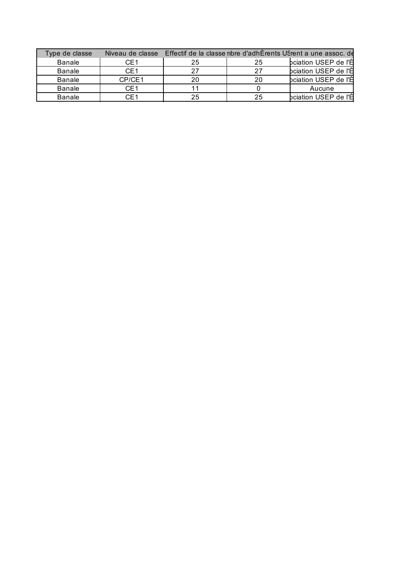| Type de classe | Niveau de classe | Effectif de la classe nbre d'adhÉrents USrent a une assoc. de |    |                      |  |  |  |
|----------------|------------------|---------------------------------------------------------------|----|----------------------|--|--|--|
| Banale         | CE <sub>1</sub>  | 25                                                            | 25 | bciation USEP de l'自 |  |  |  |
| <b>Banale</b>  | CE1              |                                                               |    | bciation USEP de l'自 |  |  |  |
| <b>Banale</b>  | CP/CE1           |                                                               | 20 | bciation USEP de l'白 |  |  |  |
| <b>Banale</b>  | CE1              |                                                               |    | Aucune               |  |  |  |
| <b>Banale</b>  |                  | 25                                                            | 25 | bciation USEP de l'白 |  |  |  |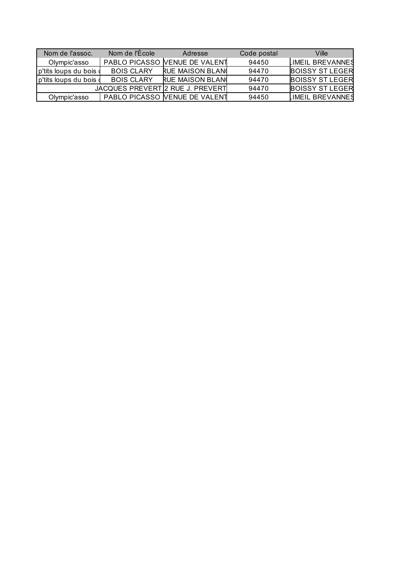| Nom de l'assoc.        | Nom de l'Ecole    | Adresse                          | Code postal | Ville                  |
|------------------------|-------------------|----------------------------------|-------------|------------------------|
| Olympic'asso           |                   | PABLO PICASSO VENUE DE VALENT    | 94450       | LIMEIL BREVANNES       |
| p'tits loups du bois d | <b>BOIS CLARY</b> | <b>RUE MAISON BLAND</b>          | 94470       | <b>BOISSY ST LEGER</b> |
| p'tits loups du bois d | <b>BOIS CLARY</b> | <b>RUE MAISON BLAND</b>          | 94470       | <b>BOISSY ST LEGER</b> |
|                        |                   | JACQUES PREVERT 2 RUE J. PREVERT | 94470       | <b>BOISSY ST LEGER</b> |
| Olympic'asso           |                   | PABLO PICASSO VENUE DE VALENT    | 94450       | LIMEIL BREVANNES       |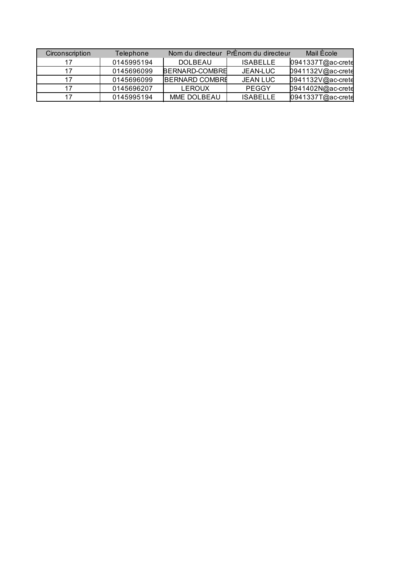| Circonscription | Telephone  |                       | Nom du directeur PrÉnom du directeur | Mail École        |
|-----------------|------------|-----------------------|--------------------------------------|-------------------|
|                 | 0145995194 | <b>DOLBEAU</b>        | <b>ISABELLE</b>                      | 0941337T@ac-crete |
|                 | 0145696099 | BERNARD-COMBRE        | JEAN-LUC                             | 0941132V@ac-crete |
|                 | 0145696099 | <b>BERNARD COMBRE</b> | <b>JEAN LUC</b>                      | 0941132V@ac-crete |
|                 | 0145696207 | <b>LEROUX</b>         | <b>PEGGY</b>                         | 0941402N@ac-crete |
|                 | 0145995194 | MME DOLBEAU           | <b>ISABELLE</b>                      | 0941337T@ac-crete |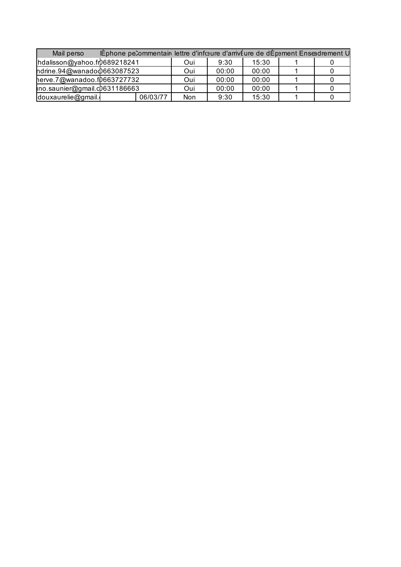| Ephone pecommentain lettre d'infreure d'arrivéure de dÉpement Enseadrement U<br>Mail perso |  |          |     |       |       |  |  |
|--------------------------------------------------------------------------------------------|--|----------|-----|-------|-------|--|--|
| hdalisson@yahoo.fr0689218241                                                               |  |          | Oui | 9:30  | 15:30 |  |  |
| ndrine.94@wanadod663087523                                                                 |  |          | Oui | 00:00 | 00:00 |  |  |
| herve.7@wanadoo.f0663727732                                                                |  |          | Oui | 00:00 | 00:00 |  |  |
| ino.saunier@gmail.c0631186663                                                              |  |          | Oui | 00:00 | 00:00 |  |  |
| douxaurelie@gmail.                                                                         |  | 06/03/77 | Non | 9:30  | 15:30 |  |  |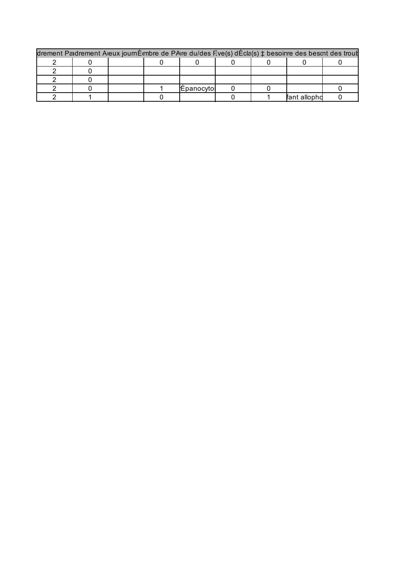| drement Paidrement Aieux journEmbre de PAire du/des F.ve(s) dEcla(s) ± besoinre des bescnt des trout |  |  |  |                   |  |  |             |  |  |
|------------------------------------------------------------------------------------------------------|--|--|--|-------------------|--|--|-------------|--|--|
|                                                                                                      |  |  |  |                   |  |  |             |  |  |
|                                                                                                      |  |  |  |                   |  |  |             |  |  |
|                                                                                                      |  |  |  |                   |  |  |             |  |  |
|                                                                                                      |  |  |  | <b>Epanocyto!</b> |  |  |             |  |  |
|                                                                                                      |  |  |  |                   |  |  | fant alloph |  |  |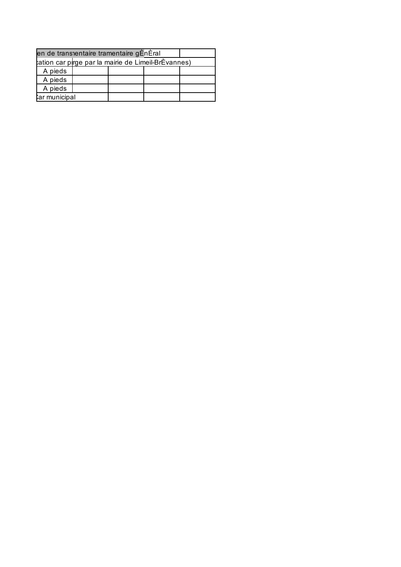| en de transientaire tramentaire gÈnÈral             |  |  |  |  |  |  |  |  |
|-----------------------------------------------------|--|--|--|--|--|--|--|--|
| tation car pirge par la mairie de Limeil-BrÈvannes) |  |  |  |  |  |  |  |  |
| A pieds                                             |  |  |  |  |  |  |  |  |
| A pieds                                             |  |  |  |  |  |  |  |  |
| A pieds                                             |  |  |  |  |  |  |  |  |
| ar municipal                                        |  |  |  |  |  |  |  |  |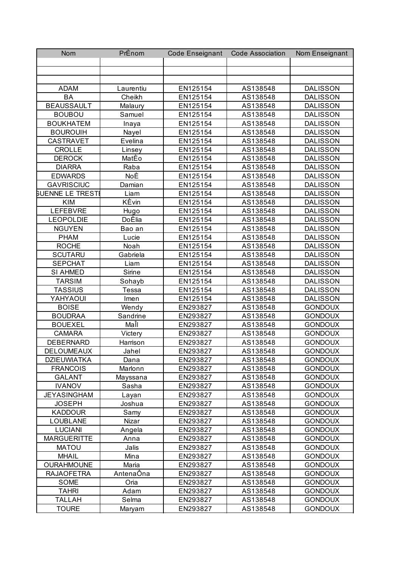| Nom                     | PrÈnom       | <b>Code Enseignant</b> | <b>Code Association</b> | Nom Enseignant  |
|-------------------------|--------------|------------------------|-------------------------|-----------------|
|                         |              |                        |                         |                 |
|                         |              |                        |                         |                 |
|                         |              |                        |                         |                 |
| <b>ADAM</b>             | Laurentiu    | EN125154               | AS138548                | <b>DALISSON</b> |
| <b>BA</b>               | Cheikh       | EN125154               | AS138548                | <b>DALISSON</b> |
| <b>BEAUSSAULT</b>       | Malaury      | EN125154               | AS138548                | <b>DALISSON</b> |
| <b>BOUBOU</b>           | Samuel       | EN125154               | AS138548                | <b>DALISSON</b> |
| <b>BOUKHATEM</b>        | Inaya        | EN125154               | AS138548                | <b>DALISSON</b> |
| <b>BOUROUIH</b>         | Nayel        | EN125154               | AS138548                | <b>DALISSON</b> |
| <b>CASTRAVET</b>        | Evelina      | EN125154               | AS138548                | <b>DALISSON</b> |
| <b>CROLLE</b>           | Linsey       | EN125154               | AS138548                | <b>DALISSON</b> |
| <b>DEROCK</b>           | MatÈo        | EN125154               | AS138548                | <b>DALISSON</b> |
| <b>DIARRA</b>           | Raba         | EN125154               | AS138548                | <b>DALISSON</b> |
| <b>EDWARDS</b>          | NoÈ          | EN125154               | AS138548                | <b>DALISSON</b> |
| <b>GAVRISCIUC</b>       | Damian       | EN125154               | AS138548                | <b>DALISSON</b> |
| <b>BUENNE LE TRESTI</b> | Liam         | EN125154               | AS138548                | <b>DALISSON</b> |
| <b>KIM</b>              | KÈvin        | EN125154               | AS138548                | <b>DALISSON</b> |
| <b>LEFEBVRE</b>         | Hugo         | EN125154               | AS138548                | <b>DALISSON</b> |
| <b>LEOPOLDIE</b>        | DoÈlia       | EN125154               | AS138548                | <b>DALISSON</b> |
| <b>NGUYEN</b>           | Bao an       | EN125154               | AS138548                | <b>DALISSON</b> |
| <b>PHAM</b>             | Lucie        | EN125154               | AS138548                | <b>DALISSON</b> |
| <b>ROCHE</b>            | Noah         | EN125154               | AS138548                | <b>DALISSON</b> |
| <b>SCUTARU</b>          | Gabriela     | EN125154               | AS138548                | <b>DALISSON</b> |
| <b>SEPCHAT</b>          | Liam         | EN125154               | AS138548                | <b>DALISSON</b> |
| SI AHMED                | Sirine       | EN125154               | AS138548                | <b>DALISSON</b> |
| <b>TARSIM</b>           | Sohayb       | EN125154               | AS138548                | <b>DALISSON</b> |
| <b>TASSIUS</b>          | <b>Tessa</b> | EN125154               | AS138548                | <b>DALISSON</b> |
| YAHYAOUI                | Imen         | EN125154               | AS138548                | <b>DALISSON</b> |
| <b>BOISE</b>            | Wendy        | EN293827               | AS138548                | <b>GONDOUX</b>  |
| <b>BOUDRAA</b>          | Sandrine     | EN293827               | AS138548                | <b>GONDOUX</b>  |
| <b>BOUEXEL</b>          | MaÎl         | EN293827               | AS138548                | <b>GONDOUX</b>  |
| <b>CAMARA</b>           | Victery      | EN293827               | AS138548                | <b>GONDOUX</b>  |
| <b>DEBERNARD</b>        | Harrison     | EN293827               | AS138548                | <b>GONDOUX</b>  |
| DELOUMEAUX              | Jahel        | EN293827               | AS138548                | <b>GONDOUX</b>  |
| <b>DZIEUWIATKA</b>      | Dana         | EN293827               | AS138548                | <b>GONDOUX</b>  |
| <b>FRANCOIS</b>         | Marlonn      | EN293827               | AS138548                | <b>GONDOUX</b>  |
| <b>GALANT</b>           | Mayssana     | EN293827               | AS138548                | <b>GONDOUX</b>  |
| <b>IVANOV</b>           | Sasha        | EN293827               | AS138548                | <b>GONDOUX</b>  |
| <b>JEYASINGHAM</b>      | Layan        | EN293827               | AS138548                | <b>GONDOUX</b>  |
| <b>JOSEPH</b>           | Joshua       | EN293827               | AS138548                | <b>GONDOUX</b>  |
| <b>KADDOUR</b>          | Samy         | EN293827               | AS138548                | <b>GONDOUX</b>  |
| LOUBLANE                | Nizar        | EN293827               | AS138548                | <b>GONDOUX</b>  |
| <b>LUCIANI</b>          | Angela       | EN293827               | AS138548                | <b>GONDOUX</b>  |
| <b>MARGUERITTE</b>      | Anna         | EN293827               | AS138548                | <b>GONDOUX</b>  |
| <b>MATOU</b>            | Jalis        | EN293827               | AS138548                | <b>GONDOUX</b>  |
| <b>MHAIL</b>            | Mina         | EN293827               | AS138548                | <b>GONDOUX</b>  |
| <b>OURAHMOUNE</b>       | Maria        | EN293827               | AS138548                | <b>GONDOUX</b>  |
| <b>RAJAOFETRA</b>       | AntenaÔna    | EN293827               | AS138548                | <b>GONDOUX</b>  |
| <b>SOME</b>             | Oria         | EN293827               | AS138548                | <b>GONDOUX</b>  |
| <b>TAHRI</b>            | Adam         | EN293827               | AS138548                | <b>GONDOUX</b>  |
| <b>TALLAH</b>           | Selma        | EN293827               | AS138548                | <b>GONDOUX</b>  |
| <b>TOURE</b>            | Maryam       | EN293827               | AS138548                | <b>GONDOUX</b>  |
|                         |              |                        |                         |                 |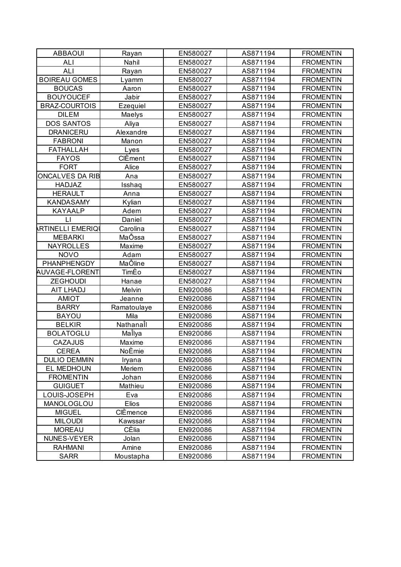| <b>ABBAOUI</b>          | Rayan       | EN580027 | AS871194 | <b>FROMENTIN</b> |
|-------------------------|-------------|----------|----------|------------------|
| <b>ALI</b>              | Nahil       | EN580027 | AS871194 | <b>FROMENTIN</b> |
| ALI                     | Rayan       | EN580027 | AS871194 | <b>FROMENTIN</b> |
| <b>BOIREAU GOMES</b>    | Lyamm       | EN580027 | AS871194 | <b>FROMENTIN</b> |
| <b>BOUCAS</b>           | Aaron       | EN580027 | AS871194 | <b>FROMENTIN</b> |
| <b>BOUYOUCEF</b>        | Jabir       | EN580027 | AS871194 | <b>FROMENTIN</b> |
| <b>BRAZ-COURTOIS</b>    | Ezequiel    | EN580027 | AS871194 | <b>FROMENTIN</b> |
| <b>DILEM</b>            | Maelys      | EN580027 | AS871194 | <b>FROMENTIN</b> |
| <b>DOS SANTOS</b>       | Aliya       | EN580027 | AS871194 | <b>FROMENTIN</b> |
| <b>DRANICERU</b>        | Alexandre   | EN580027 | AS871194 | <b>FROMENTIN</b> |
| <b>FABRONI</b>          | Manon       | EN580027 | AS871194 | <b>FROMENTIN</b> |
| <b>FATHALLAH</b>        | Lyes        | EN580027 | AS871194 | <b>FROMENTIN</b> |
| <b>FAYOS</b>            | CIÈment     | EN580027 | AS871194 | <b>FROMENTIN</b> |
| <b>FORT</b>             | Alice       | EN580027 | AS871194 | <b>FROMENTIN</b> |
| <b>ONCALVES DA RIB</b>  | Ana         | EN580027 | AS871194 | <b>FROMENTIN</b> |
| <b>HADJAZ</b>           | Isshaq      | EN580027 | AS871194 | <b>FROMENTIN</b> |
| <b>HERAULT</b>          | Anna        | EN580027 | AS871194 | <b>FROMENTIN</b> |
| <b>KANDASAMY</b>        | Kylian      | EN580027 | AS871194 | <b>FROMENTIN</b> |
| <b>KAYAALP</b>          | Adem        | EN580027 | AS871194 | <b>FROMENTIN</b> |
| LI                      | Daniel      | EN580027 | AS871194 | <b>FROMENTIN</b> |
| <b>RTINELLI EMERIQI</b> | Carolina    | EN580027 | AS871194 | <b>FROMENTIN</b> |
| <b>MEBARKI</b>          | MaÔssa      | EN580027 | AS871194 | <b>FROMENTIN</b> |
| <b>NAYROLLES</b>        | Maxime      | EN580027 | AS871194 | <b>FROMENTIN</b> |
| <b>NOVO</b>             | Adam        | EN580027 | AS871194 | <b>FROMENTIN</b> |
| PHANPHENGDY             | MaÔline     | EN580027 | AS871194 | <b>FROMENTIN</b> |
| <b>AUVAGE-FLORENT</b>   | TimÈo       | EN580027 | AS871194 | <b>FROMENTIN</b> |
| <b>ZEGHOUDI</b>         | Hanae       | EN580027 | AS871194 | <b>FROMENTIN</b> |
| AIT LHADJ               | Melvin      | EN920086 | AS871194 | <b>FROMENTIN</b> |
| <b>AMIOT</b>            | Jeanne      | EN920086 | AS871194 | <b>FROMENTIN</b> |
| <b>BARRY</b>            | Ramatoulaye | EN920086 | AS871194 | <b>FROMENTIN</b> |
| <b>BAYOU</b>            | Mila        | EN920086 | AS871194 | <b>FROMENTIN</b> |
| <b>BELKIR</b>           | Nathanall   | EN920086 | AS871194 | <b>FROMENTIN</b> |
| <b>BOLATOGLU</b>        | MaÎlya      | EN920086 | AS871194 | <b>FROMENTIN</b> |
| <b>CAZAJUS</b>          | Maxime      | EN920086 | AS871194 | <b>FROMENTIN</b> |
| <b>CEREA</b>            | NoÈmie      | EN920086 | AS871194 | <b>FROMENTIN</b> |
| <b>DULIO DEMMIN</b>     | Iryana      | EN920086 | AS871194 | <b>FROMENTIN</b> |
| EL MEDHOUN              | Meriem      | EN920086 | AS871194 | <b>FROMENTIN</b> |
| <b>FROMENTIN</b>        | Johan       | EN920086 | AS871194 | <b>FROMENTIN</b> |
| <b>GUIGUET</b>          | Mathieu     | EN920086 | AS871194 | <b>FROMENTIN</b> |
| LOUIS-JOSEPH            | Eva         | EN920086 | AS871194 | <b>FROMENTIN</b> |
| MANOLOGLOU              | Elios       | EN920086 | AS871194 | <b>FROMENTIN</b> |
| <b>MIGUEL</b>           | CIÈmence    | EN920086 | AS871194 | <b>FROMENTIN</b> |
| <b>MILOUDI</b>          | Kawssar     | EN920086 | AS871194 | <b>FROMENTIN</b> |
| <b>MOREAU</b>           | CÈlia       | EN920086 | AS871194 | <b>FROMENTIN</b> |
| NUNES-VEYER             | Jolan       | EN920086 | AS871194 | <b>FROMENTIN</b> |
| <b>RAHMANI</b>          | Amine       | EN920086 | AS871194 | <b>FROMENTIN</b> |
| <b>SARR</b>             | Moustapha   | EN920086 | AS871194 | <b>FROMENTIN</b> |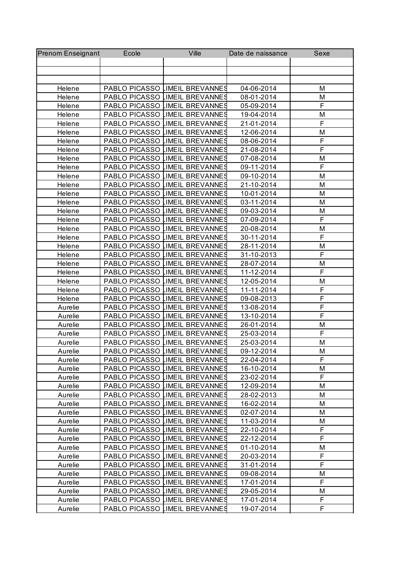| <b>Prenom Enseignant</b> | Ecole         | Ville                          | Date de naissance | Sexe           |
|--------------------------|---------------|--------------------------------|-------------------|----------------|
|                          |               |                                |                   |                |
|                          |               |                                |                   |                |
|                          |               |                                |                   |                |
| Helene                   |               | PABLO PICASSO LIMEIL BREVANNES | 04-06-2014        | M              |
| Helene                   |               | PABLO PICASSO LIMEIL BREVANNES | 08-01-2014        | М              |
| Helene                   |               | PABLO PICASSO LIMEIL BREVANNES | 05-09-2014        | F              |
| Helene                   |               | PABLO PICASSO LIMEIL BREVANNES | 19-04-2014        | M              |
| Helene                   |               | PABLO PICASSO LIMEIL BREVANNES | 21-01-2014        | F              |
| Helene                   |               | PABLO PICASSO LIMEIL BREVANNES | 12-06-2014        | M              |
| Helene                   |               | PABLO PICASSO LIMEIL BREVANNES | 08-06-2014        | F              |
| Helene                   |               | PABLO PICASSO LIMEIL BREVANNES | 21-08-2014        | F              |
| Helene                   |               | PABLO PICASSO LIMEIL BREVANNES | 07-08-2014        | M              |
| Helene                   |               | PABLO PICASSO LIMEIL BREVANNES | 09-11-2014        | $\overline{F}$ |
| Helene                   |               | PABLO PICASSO LIMEIL BREVANNES | 09-10-2014        | M              |
| Helene                   |               | PABLO PICASSO LIMEIL BREVANNES | 21-10-2014        | M              |
| Helene                   |               | PABLO PICASSO LIMEIL BREVANNES | 10-01-2014        | M              |
| Helene                   |               | PABLO PICASSO LIMEIL BREVANNES | 03-11-2014        | M              |
| Helene                   |               | PABLO PICASSO LIMEIL BREVANNES | 09-03-2014        | M              |
| Helene                   |               | PABLO PICASSO LIMEIL BREVANNES | 07-09-2014        | $\overline{F}$ |
| Helene                   |               | PABLO PICASSO LIMEIL BREVANNES | 20-08-2014        | M              |
| Helene                   |               | PABLO PICASSO LIMEIL BREVANNES | 30-11-2014        | F              |
| Helene                   |               | PABLO PICASSO LIMEIL BREVANNES | 28-11-2014        | M              |
| Helene                   |               | PABLO PICASSO LIMEIL BREVANNES | 31-10-2013        | F              |
| Helene                   |               | PABLO PICASSO LIMEIL BREVANNES | 28-07-2014        | M              |
| Helene                   |               | PABLO PICASSO LIMEIL BREVANNES | 11-12-2014        | $\overline{F}$ |
| Helene                   |               | PABLO PICASSO LIMEIL BREVANNES | 12-05-2014        | M              |
| Helene                   |               | PABLO PICASSO LIMEIL BREVANNES | 11-11-2014        | F              |
| Helene                   |               | PABLO PICASSO LIMEIL BREVANNES | 09-08-2013        | F              |
| Aurelie                  |               | PABLO PICASSO LIMEIL BREVANNES | 13-08-2014        | F              |
| Aurelie                  |               | PABLO PICASSO LIMEIL BREVANNES | 13-10-2014        | F              |
| Aurelie                  | PABLO PICASSO | LIMEIL BREVANNES               | 26-01-2014        | M              |
| Aurelie                  |               | PABLO PICASSO LIMEIL BREVANNES | 25-03-2014        | F              |
| Aurelie                  |               | PABLO PICASSO LIMEIL BREVANNES | 25-03-2014        | M              |
| Aurelie                  |               | PABLO PICASSO LIMEIL BREVANNES | 09-12-2014        | М              |
| Aurelie                  |               | PABLO PICASSO LIMEIL BREVANNES | 22-04-2014        | F              |
| Aurelie                  |               | PABLO PICASSO LIMEIL BREVANNES | 16-10-2014        | M              |
| Aurelie                  |               | PABLO PICASSO LIMEIL BREVANNES | 23-02-2014        | F              |
| Aurelie                  |               | PABLO PICASSO LIMEIL BREVANNES | 12-09-2014        | М              |
| Aurelie                  |               | PABLO PICASSO LIMEIL BREVANNES | 28-02-2013        | М              |
| Aurelie                  |               | PABLO PICASSO LIMEIL BREVANNES | 16-02-2014        | M              |
| Aurelie                  |               | PABLO PICASSO LIMEIL BREVANNES | 02-07-2014        | М              |
| Aurelie                  |               | PABLO PICASSO LIMEIL BREVANNES | 11-03-2014        | M              |
| Aurelie                  |               | PABLO PICASSO LIMEIL BREVANNES | 22-10-2014        | F              |
| Aurelie                  |               | PABLO PICASSO LIMEIL BREVANNES | 22-12-2014        | F              |
| Aurelie                  |               | PABLO PICASSO LIMEIL BREVANNES | 01-10-2014        | M              |
| Aurelie                  |               | PABLO PICASSO LIMEIL BREVANNES | 20-03-2014        | F              |
| Aurelie                  |               | PABLO PICASSO LIMEIL BREVANNES | 31-01-2014        | F              |
| Aurelie                  |               | PABLO PICASSO LIMEIL BREVANNES | 09-08-2014        | M              |
| Aurelie                  |               | PABLO PICASSO LIMEIL BREVANNES | 17-01-2014        | F              |
| Aurelie                  |               | PABLO PICASSO LIMEIL BREVANNES | 29-05-2014        | M              |
| Aurelie                  |               | PABLO PICASSO LIMEIL BREVANNES | 17-01-2014        | F              |
| Aurelie                  |               | PABLO PICASSO LIMEIL BREVANNES | 19-07-2014        | F              |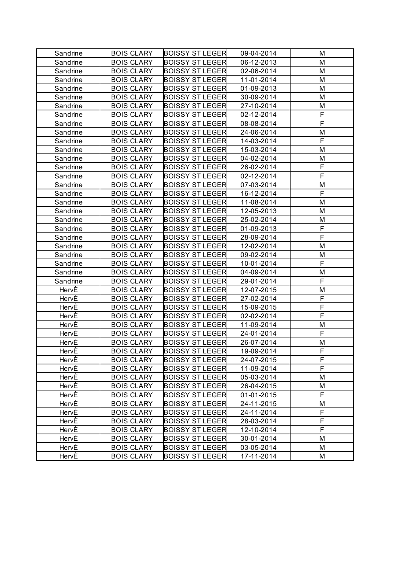| Sandrine | <b>BOIS CLARY</b> | <b>BOISSY ST LEGER</b> | 09-04-2014 | M           |
|----------|-------------------|------------------------|------------|-------------|
| Sandrine | <b>BOIS CLARY</b> | <b>BOISSY ST LEGER</b> | 06-12-2013 | M           |
| Sandrine | <b>BOIS CLARY</b> | <b>BOISSY ST LEGER</b> | 02-06-2014 | M           |
| Sandrine | <b>BOIS CLARY</b> | <b>BOISSY ST LEGER</b> | 11-01-2014 | M           |
| Sandrine | <b>BOIS CLARY</b> | <b>BOISSY ST LEGER</b> | 01-09-2013 | M           |
| Sandrine | <b>BOIS CLARY</b> | <b>BOISSY ST LEGER</b> | 30-09-2014 | M           |
| Sandrine | <b>BOIS CLARY</b> | <b>BOISSY ST LEGER</b> | 27-10-2014 | M           |
| Sandrine | <b>BOIS CLARY</b> | <b>BOISSY ST LEGER</b> | 02-12-2014 | F           |
| Sandrine | <b>BOIS CLARY</b> | <b>BOISSY ST LEGER</b> | 08-08-2014 | F           |
| Sandrine | <b>BOIS CLARY</b> | <b>BOISSY ST LEGER</b> | 24-06-2014 | M           |
| Sandrine | <b>BOIS CLARY</b> | <b>BOISSY ST LEGER</b> | 14-03-2014 | F           |
| Sandrine | <b>BOIS CLARY</b> | <b>BOISSY ST LEGER</b> | 15-03-2014 | M           |
| Sandrine | <b>BOIS CLARY</b> | <b>BOISSY ST LEGER</b> | 04-02-2014 | M           |
| Sandrine | <b>BOIS CLARY</b> | <b>BOISSY ST LEGER</b> | 26-02-2014 | F           |
| Sandrine | <b>BOIS CLARY</b> | <b>BOISSY ST LEGER</b> | 02-12-2014 | F           |
| Sandrine | <b>BOIS CLARY</b> | <b>BOISSY ST LEGER</b> | 07-03-2014 | M           |
| Sandrine | <b>BOIS CLARY</b> | <b>BOISSY ST LEGER</b> | 16-12-2014 | F           |
| Sandrine | <b>BOIS CLARY</b> | <b>BOISSY ST LEGER</b> | 11-08-2014 | M           |
| Sandrine | <b>BOIS CLARY</b> | <b>BOISSY ST LEGER</b> | 12-05-2013 | M           |
| Sandrine | <b>BOIS CLARY</b> | <b>BOISSY ST LEGER</b> | 25-02-2014 | M           |
| Sandrine | <b>BOIS CLARY</b> | <b>BOISSY ST LEGER</b> | 01-09-2013 | F           |
| Sandrine | <b>BOIS CLARY</b> | <b>BOISSY ST LEGER</b> | 28-09-2014 | F           |
| Sandrine | <b>BOIS CLARY</b> | <b>BOISSY ST LEGER</b> | 12-02-2014 | M           |
| Sandrine | <b>BOIS CLARY</b> | <b>BOISSY ST LEGER</b> | 09-02-2014 | M           |
| Sandrine | <b>BOIS CLARY</b> | <b>BOISSY ST LEGER</b> | 10-01-2014 | F           |
| Sandrine | <b>BOIS CLARY</b> | <b>BOISSY ST LEGER</b> | 04-09-2014 | M           |
| Sandrine | <b>BOIS CLARY</b> | <b>BOISSY ST LEGER</b> | 29-01-2014 | F           |
| HervÈ    | <b>BOIS CLARY</b> | <b>BOISSY ST LEGER</b> | 12-07-2015 | M           |
| HervÈ    | <b>BOIS CLARY</b> | <b>BOISSY ST LEGER</b> | 27-02-2014 | $\mathsf F$ |
| HervÈ    | <b>BOIS CLARY</b> | <b>BOISSY ST LEGER</b> | 15-09-2015 | $\mathsf F$ |
| HervÈ    | <b>BOIS CLARY</b> | <b>BOISSY ST LEGER</b> | 02-02-2014 | F           |
| HervÈ    | <b>BOIS CLARY</b> | <b>BOISSY ST LEGER</b> | 11-09-2014 | M           |
| HervÈ    | <b>BOIS CLARY</b> | <b>BOISSY ST LEGER</b> | 24-01-2014 | F           |
| HervÈ    | <b>BOIS CLARY</b> | <b>BOISSY ST LEGER</b> | 26-07-2014 | M           |
| HervE    | <b>BOIS CLARY</b> | <b>BOISSY ST LEGER</b> | 19-09-2014 | F           |
| HervÈ    | <b>BOIS CLARY</b> | <b>BOISSY ST LEGER</b> | 24-07-2015 | F           |
| HervÈ    | <b>BOIS CLARY</b> | <b>BOISSY ST LEGER</b> | 11-09-2014 | F           |
| HervÈ    | <b>BOIS CLARY</b> | <b>BOISSY ST LEGER</b> | 05-03-2014 | M           |
| HervÈ    | <b>BOIS CLARY</b> | <b>BOISSY ST LEGER</b> | 26-04-2015 | M           |
| HervÈ    | <b>BOIS CLARY</b> | <b>BOISSY ST LEGER</b> | 01-01-2015 | F           |
| HervÈ    | <b>BOIS CLARY</b> | <b>BOISSY ST LEGER</b> | 24-11-2015 | М           |
| HervÈ    | <b>BOIS CLARY</b> | <b>BOISSY ST LEGER</b> | 24-11-2014 | F           |
| HervÈ    | <b>BOIS CLARY</b> | <b>BOISSY ST LEGER</b> | 28-03-2014 | F           |
| HervÈ    | <b>BOIS CLARY</b> | <b>BOISSY ST LEGER</b> | 12-10-2014 | F           |
| HervÈ    | <b>BOIS CLARY</b> | <b>BOISSY ST LEGER</b> | 30-01-2014 | M           |
| HervÈ    | <b>BOIS CLARY</b> | <b>BOISSY ST LEGER</b> | 03-05-2014 | M           |
| HervÈ    | <b>BOIS CLARY</b> | <b>BOISSY ST LEGER</b> | 17-11-2014 | М           |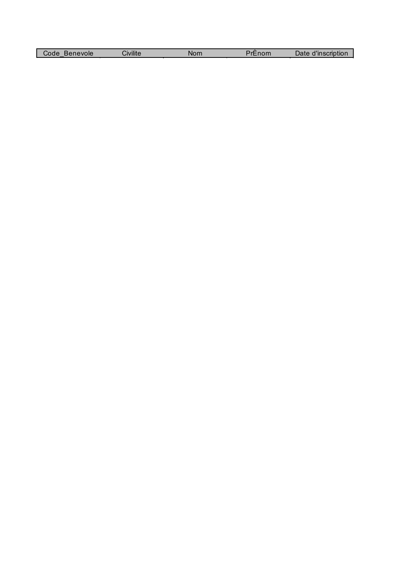| Code<br>Benevole<br>$\overline{\phantom{a}}$ | Civilite | Nom | nom | $\sim$ $\sim$ $\sim$<br>'inscription<br>⊃аτе |
|----------------------------------------------|----------|-----|-----|----------------------------------------------|
|                                              |          |     |     |                                              |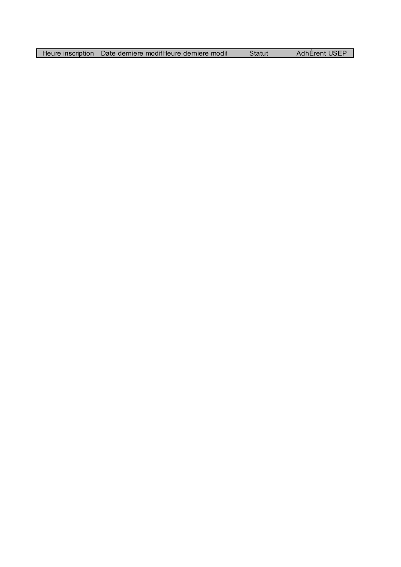| Heure inscription | Date derniere modif-leure derniere modit | Statut | AdhÉrent USEP |
|-------------------|------------------------------------------|--------|---------------|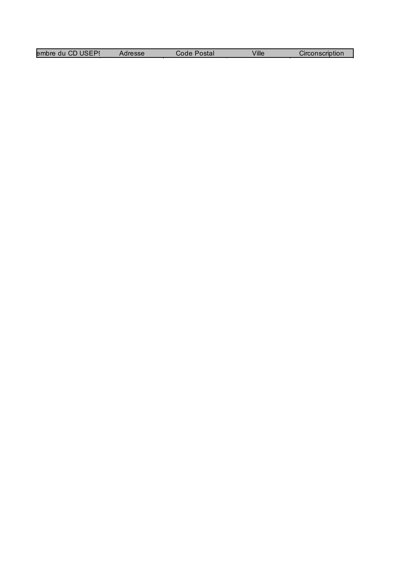| SEP<br>embre du v<br><b>HD</b> | resse | 'ostal<br>code | Ville | $\sim$ $\sim$<br>Circonscription |
|--------------------------------|-------|----------------|-------|----------------------------------|
|                                |       |                |       |                                  |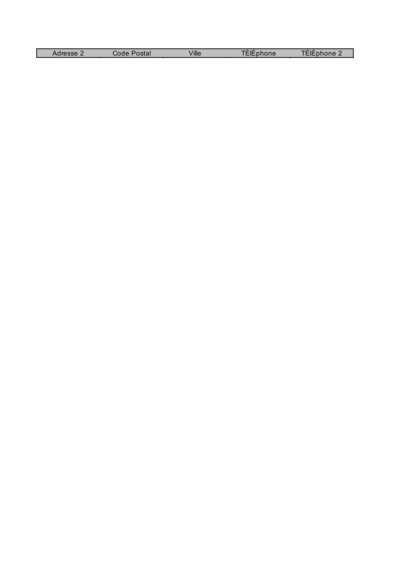| dresse. | ∖stal<br>Code | Ville | ⊿one∽<br>__ | ne<br>r ir<br>-- |
|---------|---------------|-------|-------------|------------------|
|         |               |       |             |                  |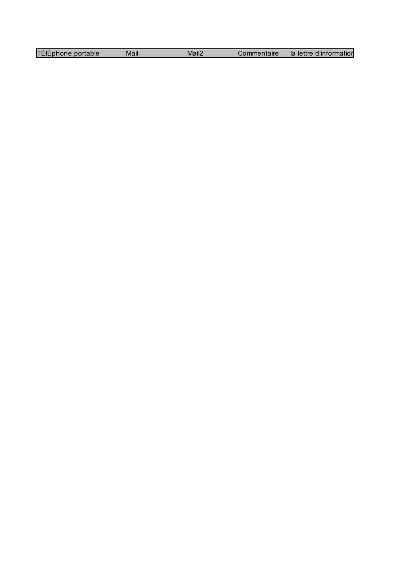| TÈlÈphone portable | Mail | Mail2 | Commentaire | la lettre d'information |
|--------------------|------|-------|-------------|-------------------------|
|--------------------|------|-------|-------------|-------------------------|